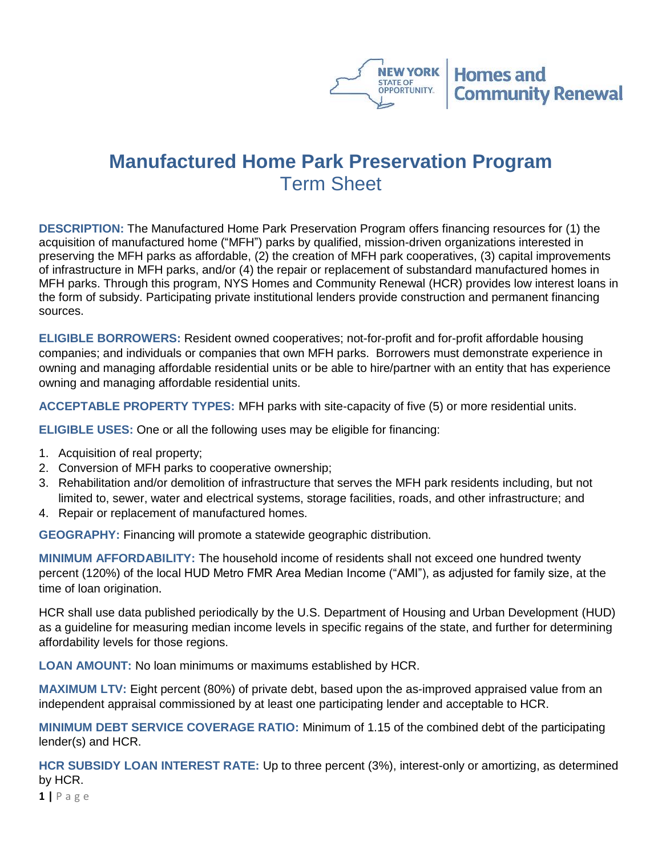

## **Manufactured Home Park Preservation Program** Term Sheet

**DESCRIPTION:** The Manufactured Home Park Preservation Program offers financing resources for (1) the acquisition of manufactured home ("MFH") parks by qualified, mission-driven organizations interested in preserving the MFH parks as affordable, (2) the creation of MFH park cooperatives, (3) capital improvements of infrastructure in MFH parks, and/or (4) the repair or replacement of substandard manufactured homes in MFH parks. Through this program, NYS Homes and Community Renewal (HCR) provides low interest loans in the form of subsidy. Participating private institutional lenders provide construction and permanent financing sources.

**ELIGIBLE BORROWERS:** Resident owned cooperatives; not-for-profit and for-profit affordable housing companies; and individuals or companies that own MFH parks. Borrowers must demonstrate experience in owning and managing affordable residential units or be able to hire/partner with an entity that has experience owning and managing affordable residential units.

**ACCEPTABLE PROPERTY TYPES:** MFH parks with site-capacity of five (5) or more residential units.

**ELIGIBLE USES:** One or all the following uses may be eligible for financing:

- 1. Acquisition of real property;
- 2. Conversion of MFH parks to cooperative ownership;
- 3. Rehabilitation and/or demolition of infrastructure that serves the MFH park residents including, but not limited to, sewer, water and electrical systems, storage facilities, roads, and other infrastructure; and
- 4. Repair or replacement of manufactured homes.

**GEOGRAPHY:** Financing will promote a statewide geographic distribution.

**MINIMUM AFFORDABILITY:** The household income of residents shall not exceed one hundred twenty percent (120%) of the local HUD Metro FMR Area Median Income ("AMI"), as adjusted for family size, at the time of loan origination.

HCR shall use data published periodically by the U.S. Department of Housing and Urban Development (HUD) as a guideline for measuring median income levels in specific regains of the state, and further for determining affordability levels for those regions.

**LOAN AMOUNT:** No loan minimums or maximums established by HCR.

**MAXIMUM LTV:** Eight percent (80%) of private debt, based upon the as-improved appraised value from an independent appraisal commissioned by at least one participating lender and acceptable to HCR.

**MINIMUM DEBT SERVICE COVERAGE RATIO:** Minimum of 1.15 of the combined debt of the participating lender(s) and HCR.

**HCR SUBSIDY LOAN INTEREST RATE:** Up to three percent (3%), interest-only or amortizing, as determined by HCR.

**1 |** P a g e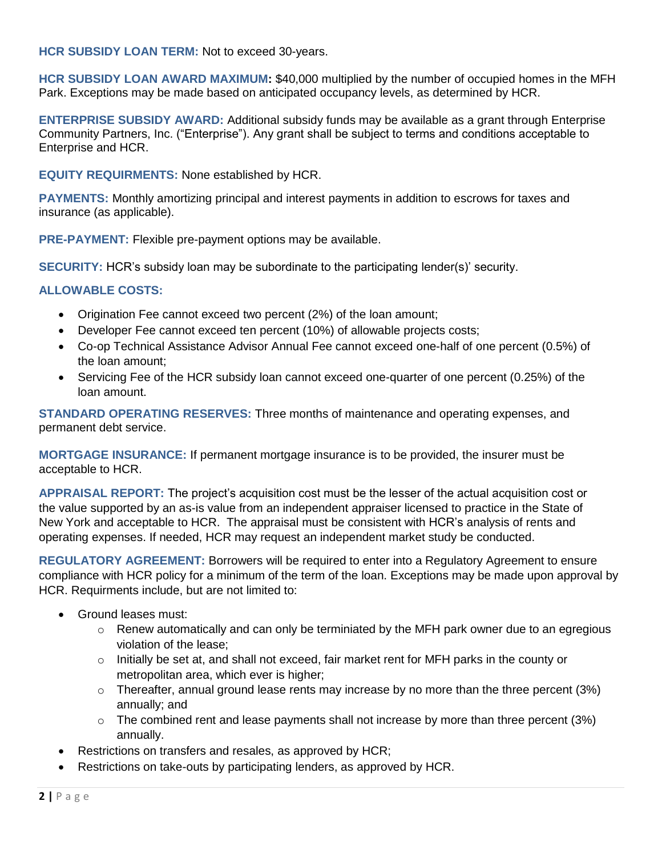**HCR SUBSIDY LOAN TERM:** Not to exceed 30-years.

**HCR SUBSIDY LOAN AWARD MAXIMUM:** \$40,000 multiplied by the number of occupied homes in the MFH Park. Exceptions may be made based on anticipated occupancy levels, as determined by HCR.

**ENTERPRISE SUBSIDY AWARD:** Additional subsidy funds may be available as a grant through Enterprise Community Partners, Inc. ("Enterprise"). Any grant shall be subject to terms and conditions acceptable to Enterprise and HCR.

**EQUITY REQUIRMENTS:** None established by HCR.

**PAYMENTS:** Monthly amortizing principal and interest payments in addition to escrows for taxes and insurance (as applicable).

**PRE-PAYMENT:** Flexible pre-payment options may be available.

**SECURITY:** HCR's subsidy loan may be subordinate to the participating lender(s)' security.

## **ALLOWABLE COSTS:**

- Origination Fee cannot exceed two percent (2%) of the loan amount;
- Developer Fee cannot exceed ten percent (10%) of allowable projects costs;
- Co-op Technical Assistance Advisor Annual Fee cannot exceed one-half of one percent (0.5%) of the loan amount;
- Servicing Fee of the HCR subsidy loan cannot exceed one-quarter of one percent (0.25%) of the loan amount.

**STANDARD OPERATING RESERVES:** Three months of maintenance and operating expenses, and permanent debt service.

**MORTGAGE INSURANCE:** If permanent mortgage insurance is to be provided, the insurer must be acceptable to HCR.

**APPRAISAL REPORT:** The project's acquisition cost must be the lesser of the actual acquisition cost or the value supported by an as-is value from an independent appraiser licensed to practice in the State of New York and acceptable to HCR. The appraisal must be consistent with HCR's analysis of rents and operating expenses. If needed, HCR may request an independent market study be conducted.

**REGULATORY AGREEMENT:** Borrowers will be required to enter into a Regulatory Agreement to ensure compliance with HCR policy for a minimum of the term of the loan. Exceptions may be made upon approval by HCR. Requirments include, but are not limited to:

- Ground leases must:
	- $\circ$  Renew automatically and can only be terminiated by the MFH park owner due to an egregious violation of the lease;
	- o Initially be set at, and shall not exceed, fair market rent for MFH parks in the county or metropolitan area, which ever is higher;
	- $\circ$  Thereafter, annual ground lease rents may increase by no more than the three percent (3%) annually; and
	- $\circ$  The combined rent and lease payments shall not increase by more than three percent (3%) annually.
- Restrictions on transfers and resales, as approved by HCR;
- Restrictions on take-outs by participating lenders, as approved by HCR.